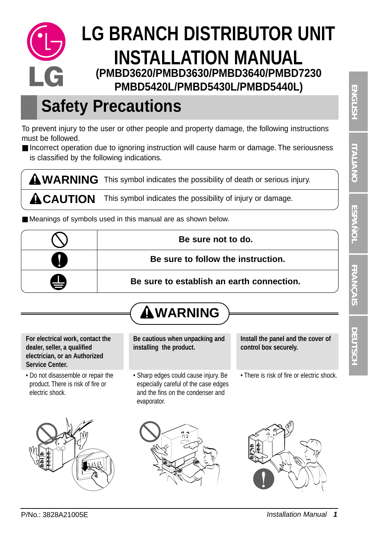## **LG BRANCH DISTRIBUTOR UNIT INSTALLATION MANUAL (PMBD3620/PMBD3630/PMBD3640/PMBD7230** I G **PMBD5420L/PMBD5430L/PMBD5440L)**

# **Safety Precautions**

To prevent injury to the user or other people and property damage, the following instructions must be followed.

■ Incorrect operation due to ignoring instruction will cause harm or damage. The seriousness is classified by the following indications.

WARNING This symbol indicates the possibility of death or serious injury.  $\Lambda$ CAUTION This symbol indicates the possibility of injury or damage.

■ Meanings of symbols used in this manual are as shown below.

|   | Be sure not to do.                        |
|---|-------------------------------------------|
|   | Be sure to follow the instruction.        |
| ٢ | Be sure to establish an earth connection. |

## **WARNING**

#### **For electrical work, contact the dealer, seller, a qualified electrician, or an Authorized Service Center.**

• Do not disassemble or repair the product. There is risk of fire or electric shock.



**Be cautious when unpacking and installing the product.**

• Sharp edges could cause injury. Be especially careful of the case edges and the fins on the condenser and evaporator.

**Install the panel and the cover of control box securely.**

• There is risk of fire or electric shock.



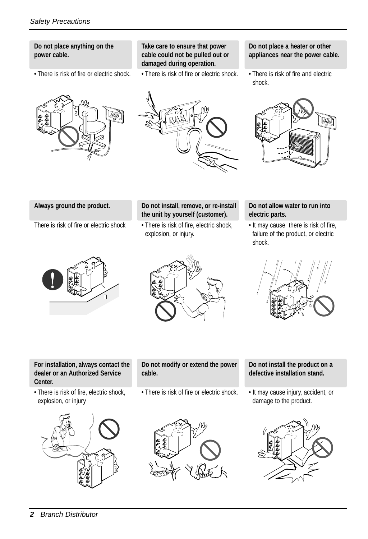#### **Do not place anything on the power cable.**

• There is risk of fire or electric shock.

#### **Take care to ensure that power cable could not be pulled out or damaged during operation.**

• There is risk of fire or electric shock.

#### **Do not place a heater or other appliances near the power cable.**

• There is risk of fire and electric shock.



# DOD

#### **Always ground the product.**

There is risk of fire or electric shock

#### **Do not install, remove, or re-install the unit by yourself (customer).**

• There is risk of fire, electric shock, explosion, or injury.

#### **Do not allow water to run into electric parts.**

• It may cause there is risk of fire, failure of the product, or electric shock.







#### **For installation, always contact the dealer or an Authorized Service Center.**

• There is risk of fire, electric shock, explosion, or injury



#### **Do not modify or extend the power cable.**

• There is risk of fire or electric shock.



#### **Do not install the product on a defective installation stand.**

• It may cause injury, accident, or damage to the product.

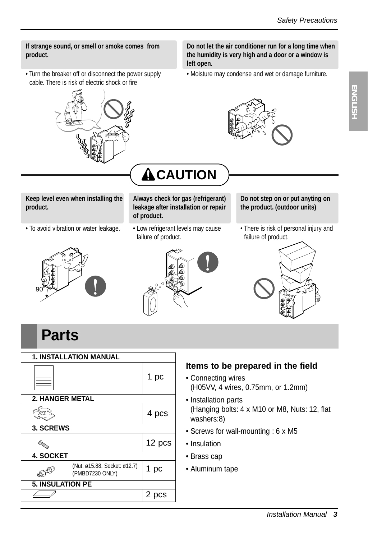**ENGLISH ENGLISH**

#### **If strange sound, or smell or smoke comes from product.**

• Turn the breaker off or disconnect the power supply cable. There is risk of electric shock or fire



**Do not let the air conditioner run for a long time when the humidity is very high and a door or a window is left open.**

• Moisture may condense and wet or damage furniture.



**Keep level even when installing the product.**

**•** To avoid vibration or water leakage.

# **ACAUTION**

**Always check for gas (refrigerant) leakage after installation or repair of product.**

• Low refrigerant levels may cause failure of product.

#### **Do not step on or put anyting on the product. (outdoor units)**

• There is risk of personal injury and failure of product.







## **Parts**

| <b>1. INSTALLATION MANUAL</b> |                                                 |        |  |
|-------------------------------|-------------------------------------------------|--------|--|
|                               |                                                 | 1 pc   |  |
| <b>2. HANGER METAL</b>        |                                                 |        |  |
|                               |                                                 | 4 pcs  |  |
| 3. SCREWS                     |                                                 |        |  |
| O <sub>OR</sub>               |                                                 | 12 pcs |  |
| <b>4. SOCKET</b>              |                                                 |        |  |
|                               | (Nut: ø15.88, Socket: ø12.7)<br>(PMBD7230 ONLY) | 1 pc   |  |
| <b>5. INSULATION PE</b>       |                                                 |        |  |
|                               |                                                 | 2 pcs  |  |

#### **Items to be prepared in the field**

- Connecting wires (H05VV, 4 wires, 0.75mm, or 1.2mm)
- Installation parts (Hanging bolts: 4 x M10 or M8, Nuts: 12, flat washers:8)
- Screws for wall-mounting : 6 x M5
- Insulation
- Brass cap
- Aluminum tape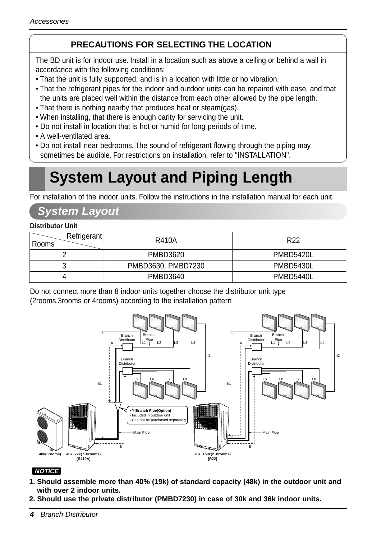## **PRECAUTIONS FOR SELECTING THE LOCATION**

The BD unit is for indoor use. Install in a location such as above a ceiling or behind a wall in accordance with the following conditions:

- That the unit is fully supported, and is in a location with little or no vibration.
- That the refrigerant pipes for the indoor and outdoor units can be repaired with ease, and that the units are placed well within the distance from each other allowed by the pipe length.
- That there is nothing nearby that produces heat or steam(gas).
- When installing, that there is enough carity for servicing the unit.
- Do not install in location that is hot or humid for long periods of time.
- A well-ventilated area.
- Do not install near bedrooms. The sound of refrigerant flowing through the piping may sometimes be audible. For restrictions on installation, refer to "INSTALLATION".

## **System Layout and Piping Length**

For installation of the indoor units. Follow the instructions in the installation manual for each unit.

## **System Layout**

#### **Distributor Unit**

| Refrigerant<br>Rooms | R410A              | R <sub>22</sub> |
|----------------------|--------------------|-----------------|
|                      | PMBD3620           | PMBD5420L       |
|                      | PMBD3630, PMBD7230 | PMBD5430L       |
|                      | PMBD3640           | PMBD5440L       |

Do not connect more than 8 indoor units together choose the distributor unit type (2rooms,3rooms or 4rooms) according to the installation pattern



#### **NOTICE**

- **1. Should assemble more than 40% (19k) of standard capacity (48k) in the outdoor unit and with over 2 indoor units.**
- **2. Should use the private distributor (PMBD7230) in case of 30k and 36k indoor units.**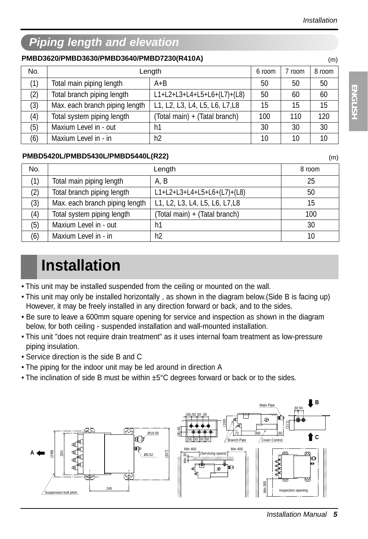## **Piping length and elevation**

#### **PMBD3620/PMBD3630/PMBD3640/PMBD7230(R410A)**

| No. | Length                         |                                | 6 room | 7 room | 8 room |
|-----|--------------------------------|--------------------------------|--------|--------|--------|
| (1) | Total main piping length       | $A + B$                        | 50     | 50     | 50     |
| (2) | Total branch piping length     | L1+L2+L3+L4+L5+L6+(L7)+(L8)    | 50     | 60     | 60     |
| (3) | Max. each branch piping length | L1, L2, L3, L4, L5, L6, L7, L8 | 15     | 15     | 15     |
| (4) | Total system piping length     | (Total main) + (Tatal branch)  | 100    | 110    | 120    |
| (5) | Maxium Level in - out          | h1                             | 30     | 30     | 30     |
| (6) | Maxium Level in - in           | h2                             | 10     | 10     | 10     |

#### **PMBD5420L/PMBD5430L/PMBD5440L(R22)** (m)

| No. | Length                         |                                | 8 room |
|-----|--------------------------------|--------------------------------|--------|
| (1) | Total main piping length       | A.B                            | 25     |
| (2) | Total branch piping length     | L1+L2+L3+L4+L5+L6+(L7)+(L8)    | 50     |
| (3) | Max. each branch piping length | L1, L2, L3, L4, L5, L6, L7, L8 | 15     |
| (4) | Total system piping length     | (Total main) + (Tatal branch)  | 100    |
| (5) | Maxium Level in - out          | h1                             | 30     |
| (6) | Maxium Level in - in           | h <sub>2</sub>                 | 10     |

## **Installation**

- This unit may be installed suspended from the ceiling or mounted on the wall.
- This unit may only be installed horizontally , as shown in the diagram below.(Side B is facing up) However, it may be freely installed in any direction forward or back, and to the sides.
- Be sure to leave a 600mm square opening for service and inspection as shown in the diagram below, for both ceiling - suspended installation and wall-mounted installation.
- This unit "does not require drain treatment" as it uses internal foam treatment as low-pressure piping insulation.
- Service direction is the side B and C
- The piping for the indoor unit may be led around in direction A
- The inclination of side B must be within ±5°C degrees forward or back or to the sides.



(m)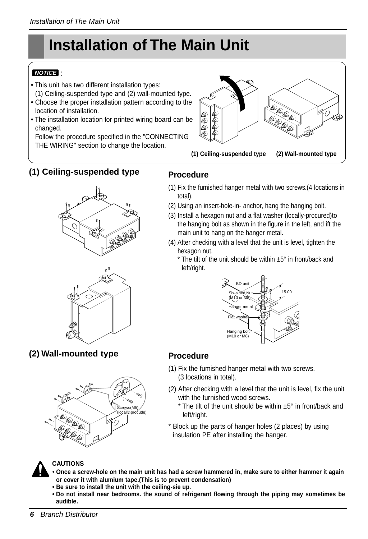# **Installation of The Main Unit**

#### : **NOTICE**

- This unit has two different installation types: (1) Ceiling-suspended type and (2) wall-mounted type.
- Choose the proper installation pattern according to the location of installation.
- The installation location for printed wiring board can be changed.

Follow the procedure specified in the "CONNECTING THE WIRING" section to change the location.



## **(1) Ceiling-suspended type**





**(2) Wall-mounted type**



## **Procedure**

- (1) Fix the fumished hanger metal with two screws.(4 locations in total).
- (2) Using an insert-hole-in- anchor, hang the hanging bolt.
- (3) Install a hexagon nut and a flat washer (locally-procured)to the hanging bolt as shown in the figure in the left, and ift the main unit to hang on the hanger metal.
- (4) After checking with a level that the unit is level, tighten the hexagon nut.
	- \* The tilt of the unit should be within ±5° in front/back and left/right.



### **Procedure**

- (1) Fix the fumished hanger metal with two screws. (3 locations in total).
- (2) After checking with a level that the unit is level, fix the unit with the furnished wood screws.
	- $*$  The tilt of the unit should be within  $±5°$  in front/back and left/right.
- \* Block up the parts of hanger holes (2 places) by using insulation PE after installing the hanger.



#### **CAUTIONS**

- **Once a screw-hole on the main unit has had a screw hammered in, make sure to either hammer it again or cover it with alumium tape.(This is to prevent condensation)**
- **Be sure to install the unit with the ceiling-sie up.**
- **Do not install near bedrooms. the sound of refrigerant flowing through the piping may sometimes be audible.**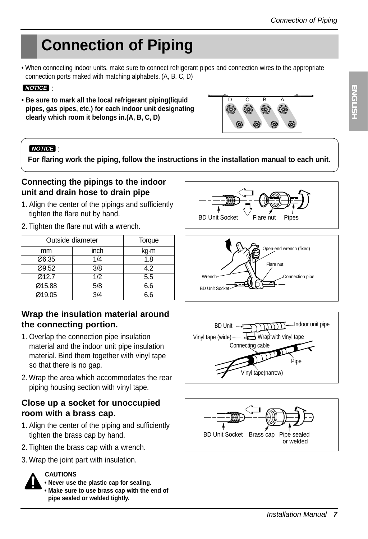## **Connection of Piping**

• When connecting indoor units, make sure to connect refrigerant pipes and connection wires to the appropriate connection ports maked with matching alphabets. (A, B, C, D)

#### : **NOTICE**

**• Be sure to mark all the local refrigerant piping(liquid pipes, gas pipes, etc.) for each indoor unit designating clearly which room it belongs in.(A, B, C, D)**

#### : **NOTICE**

**For flaring work the piping, follow the instructions in the installation manual to each unit.**

#### **Connecting the pipings to the indoor unit and drain hose to drain pipe**

- 1. Align the center of the pipings and sufficiently tighten the flare nut by hand.
- 2. Tighten the flare nut with a wrench.

| Outside diameter |      | Torque |
|------------------|------|--------|
| mm               | inch | kg m   |
| Ø6.35            | 1/4  | 1.8    |
| Ø9.52            | 3/8  | 4.2    |
| Ø12.7            | 1/2  | 5.5    |
| Ø15.88           | 5/8  | 6.6    |
| Ø19.05           | 3/4  | 6.6    |

#### **Wrap the insulation material around the connecting portion.**

- 1. Overlap the connection pipe insulation material and the indoor unit pipe insulation material. Bind them together with vinyl tape so that there is no gap.
- 2. Wrap the area which accommodates the rear piping housing section with vinyl tape.

#### **Close up a socket for unoccupied room with a brass cap.**

- 1. Align the center of the piping and sufficiently tighten the brass cap by hand.
- 2. Tighten the brass cap with a wrench.
- 3. Wrap the joint part with insulation.

# **CAUTIONS**





D C B A